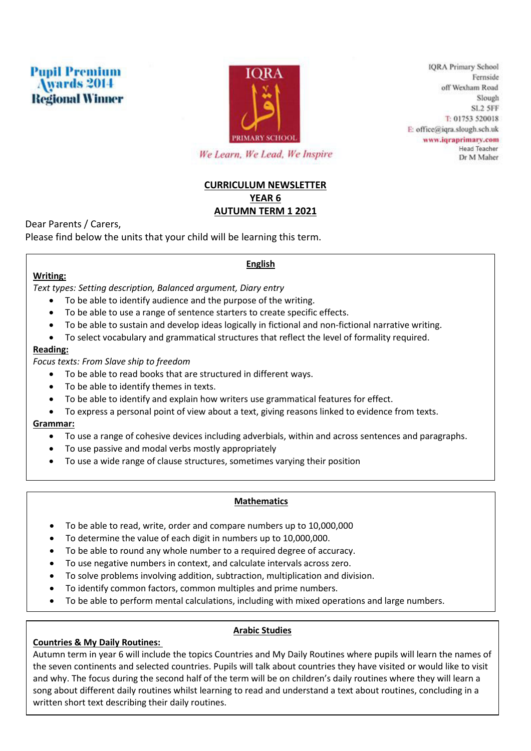



**IQRA Primary School** Fernside off Wexham Road Slough SL<sub>2</sub> 5FF T: 01753 520018 E: office@iqra.slough.sch.uk www.iqraprimary.com Head Teacher Dr M Maher

We Learn, We Lead, We Inspire

# **CURRICULUM NEWSLETTER YEAR 6 AUTUMN TERM 1 2021**

Dear Parents / Carers,

Please find below the units that your child will be learning this term.

# **Writing:**

# **English**

*Text types: Setting description, Balanced argument, Diary entry* 

- To be able to identify audience and the purpose of the writing.
- To be able to use a range of sentence starters to create specific effects.
- To be able to sustain and develop ideas logically in fictional and non-fictional narrative writing.
- To select vocabulary and grammatical structures that reflect the level of formality required.

## **Reading:**

*Focus texts: From Slave ship to freedom* 

- To be able to read books that are structured in different ways.
- To be able to identify themes in texts.
- To be able to identify and explain how writers use grammatical features for effect.
- To express a personal point of view about a text, giving reasons linked to evidence from texts.

### **Grammar:**

- To use a range of cohesive devices including adverbials, within and across sentences and paragraphs.
- To use passive and modal verbs mostly appropriately
- To use a wide range of clause structures, sometimes varying their position

### **Mathematics**

- To be able to read, write, order and compare numbers up to 10,000,000
- To determine the value of each digit in numbers up to 10,000,000.
- To be able to round any whole number to a required degree of accuracy.
- To use negative numbers in context, and calculate intervals across zero.
- To solve problems involving addition, subtraction, multiplication and division.
- To identify common factors, common multiples and prime numbers.
- To be able to perform mental calculations, including with mixed operations and large numbers.

# **Countries & My Daily Routines:**

# **Arabic Studies**

Autumn term in year 6 will include the topics Countries and My Daily Routines where pupils will learn the names of the seven continents and selected countries. Pupils will talk about countries they have visited or would like to visit and why. The focus during the second half of the term will be on children's daily routines where they will learn a song about different daily routines whilst learning to read and understand a text about routines, concluding in a written short text describing their daily routines.